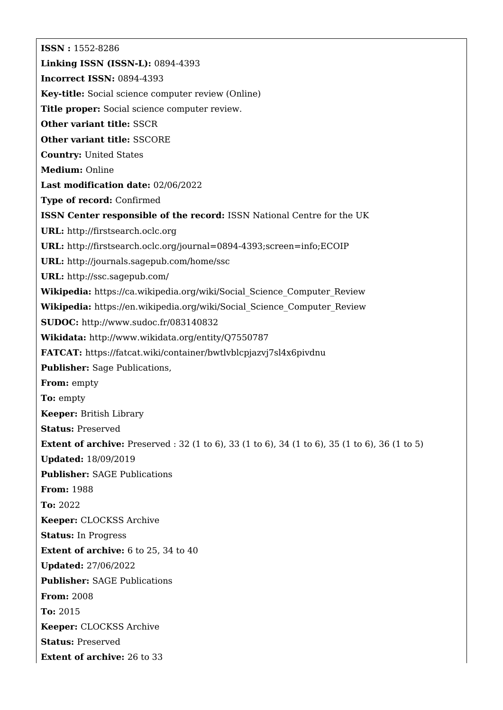**ISSN :** 1552-8286 **Linking ISSN (ISSN-L):** 0894-4393 **Incorrect ISSN:** 0894-4393 **Key-title:** Social science computer review (Online) **Title proper:** Social science computer review. **Other variant title:** SSCR **Other variant title:** SSCORE **Country:** United States **Medium:** Online **Last modification date:** 02/06/2022 **Type of record:** Confirmed **ISSN Center responsible of the record:** ISSN National Centre for the UK **URL:** <http://firstsearch.oclc.org> **URL:** <http://firstsearch.oclc.org/journal=0894-4393;screen=info;ECOIP> **URL:** <http://journals.sagepub.com/home/ssc> **URL:** <http://ssc.sagepub.com/> **Wikipedia:** [https://ca.wikipedia.org/wiki/Social\\_Science\\_Computer\\_Review](https://ca.wikipedia.org/wiki/Social_Science_Computer_Review) **Wikipedia:** [https://en.wikipedia.org/wiki/Social\\_Science\\_Computer\\_Review](https://en.wikipedia.org/wiki/Social_Science_Computer_Review) **SUDOC:** <http://www.sudoc.fr/083140832> **Wikidata:** <http://www.wikidata.org/entity/Q7550787> **FATCAT:** <https://fatcat.wiki/container/bwtlvblcpjazvj7sl4x6pivdnu> **Publisher:** Sage Publications, **From:** empty **To:** empty **Keeper:** British Library **Status:** Preserved **Extent of archive:** Preserved : 32 (1 to 6), 33 (1 to 6), 34 (1 to 6), 35 (1 to 6), 36 (1 to 5) **Updated:** 18/09/2019 **Publisher:** SAGE Publications **From:** 1988 **To:** 2022 **Keeper:** CLOCKSS Archive **Status:** In Progress **Extent of archive:** 6 to 25, 34 to 40 **Updated:** 27/06/2022 **Publisher:** SAGE Publications **From:** 2008 **To:** 2015 **Keeper:** CLOCKSS Archive **Status:** Preserved **Extent of archive:** 26 to 33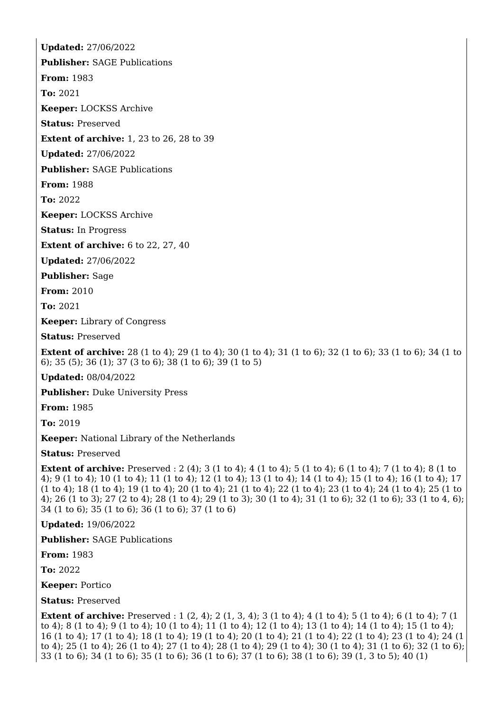**Updated:** 27/06/2022 **Publisher:** SAGE Publications **From:** 1983 **To:** 2021 **Keeper:** LOCKSS Archive **Status:** Preserved **Extent of archive:** 1, 23 to 26, 28 to 39 **Updated:** 27/06/2022 **Publisher:** SAGE Publications **From:** 1988 **To:** 2022 **Keeper:** LOCKSS Archive **Status:** In Progress **Extent of archive:** 6 to 22, 27, 40 **Updated:** 27/06/2022 **Publisher:** Sage **From:** 2010 **To:** 2021 **Keeper:** Library of Congress **Status:** Preserved **Extent of archive:** 28 (1 to 4); 29 (1 to 4); 30 (1 to 4); 31 (1 to 6); 32 (1 to 6); 33 (1 to 6); 34 (1 to 6); 35 (5); 36 (1); 37 (3 to 6); 38 (1 to 6); 39 (1 to 5) **Updated:** 08/04/2022 **Publisher:** Duke University Press

**From:** 1985

**To:** 2019

**Keeper:** National Library of the Netherlands

**Status:** Preserved

**Extent of archive:** Preserved : 2 (4); 3 (1 to 4); 4 (1 to 4); 5 (1 to 4); 6 (1 to 4); 7 (1 to 4); 8 (1 to 4); 9 (1 to 4); 10 (1 to 4); 11 (1 to 4); 12 (1 to 4); 13 (1 to 4); 14 (1 to 4); 15 (1 to 4); 16 (1 to 4); 17 (1 to 4); 18 (1 to 4); 19 (1 to 4); 20 (1 to 4); 21 (1 to 4); 22 (1 to 4); 23 (1 to 4); 24 (1 to 4); 25 (1 to 4); 26 (1 to 3); 27 (2 to 4); 28 (1 to 4); 29 (1 to 3); 30 (1 to 4); 31 (1 to 6); 32 (1 to 6); 33 (1 to 4, 6); 34 (1 to 6); 35 (1 to 6); 36 (1 to 6); 37 (1 to 6)

**Updated:** 19/06/2022

**Publisher:** SAGE Publications

**From:** 1983

**To:** 2022

**Keeper:** Portico

**Status:** Preserved

**Extent of archive:** Preserved : 1 (2, 4); 2 (1, 3, 4); 3 (1 to 4); 4 (1 to 4); 5 (1 to 4); 6 (1 to 4); 7 (1 to 4); 8 (1 to 4); 9 (1 to 4); 10 (1 to 4); 11 (1 to 4); 12 (1 to 4); 13 (1 to 4); 14 (1 to 4); 15 (1 to 4); 16 (1 to 4); 17 (1 to 4); 18 (1 to 4); 19 (1 to 4); 20 (1 to 4); 21 (1 to 4); 22 (1 to 4); 23 (1 to 4); 24 (1 to 4); 25 (1 to 4); 26 (1 to 4); 27 (1 to 4); 28 (1 to 4); 29 (1 to 4); 30 (1 to 4); 31 (1 to 6); 32 (1 to 6); 33 (1 to 6); 34 (1 to 6); 35 (1 to 6); 36 (1 to 6); 37 (1 to 6); 38 (1 to 6); 39 (1, 3 to 5); 40 (1)